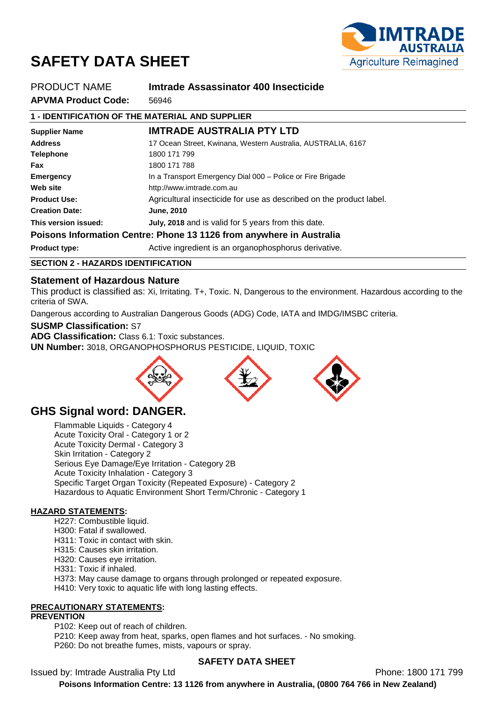

# **SAFETY DATA SHEET**

| PRODUCT NAME                                                         | Imtrade Assassinator 400 Insecticide                                |  |  |
|----------------------------------------------------------------------|---------------------------------------------------------------------|--|--|
| <b>APVMA Product Code:</b>                                           | 56946                                                               |  |  |
| 1 - IDENTIFICATION OF THE MATERIAL AND SUPPLIER                      |                                                                     |  |  |
| <b>Supplier Name</b>                                                 | <b>IMTRADE AUSTRALIA PTY LTD</b>                                    |  |  |
| <b>Address</b>                                                       | 17 Ocean Street, Kwinana, Western Australia, AUSTRALIA, 6167        |  |  |
| <b>Telephone</b>                                                     | 1800 171 799                                                        |  |  |
| Fax                                                                  | 1800 171 788                                                        |  |  |
| <b>Emergency</b>                                                     | In a Transport Emergency Dial 000 - Police or Fire Brigade          |  |  |
| Web site                                                             | http://www.imtrade.com.au                                           |  |  |
| <b>Product Use:</b>                                                  | Agricultural insecticide for use as described on the product label. |  |  |
| <b>Creation Date:</b>                                                | <b>June, 2010</b>                                                   |  |  |
| This version issued:                                                 | July, 2018 and is valid for 5 years from this date.                 |  |  |
| Poisons Information Centre: Phone 13 1126 from anywhere in Australia |                                                                     |  |  |
| <b>Product type:</b>                                                 | Active ingredient is an organophosphorus derivative.                |  |  |

# **SECTION 2 - HAZARDS IDENTIFICATION**

# **Statement of Hazardous Nature**

This product is classified as: Xi, Irritating. T+, Toxic. N, Dangerous to the environment. Hazardous according to the criteria of SWA.

Dangerous according to Australian Dangerous Goods (ADG) Code, IATA and IMDG/IMSBC criteria.

#### **SUSMP Classification:** S7

**ADG Classification:** Class 6.1: Toxic substances.

**UN Number:** 3018, ORGANOPHOSPHORUS PESTICIDE, LIQUID, TOXIC







# **GHS Signal word: DANGER.**

Flammable Liquids - Category 4 Acute Toxicity Oral - Category 1 or 2 Acute Toxicity Dermal - Category 3 Skin Irritation - Category 2 Serious Eye Damage/Eye Irritation - Category 2B Acute Toxicity Inhalation - Category 3 Specific Target Organ Toxicity (Repeated Exposure) - Category 2 Hazardous to Aquatic Environment Short Term/Chronic - Category 1

# **HAZARD STATEMENTS:**

H227: Combustible liquid. H300: Fatal if swallowed. H311: Toxic in contact with skin. H315: Causes skin irritation. H320: Causes eye irritation. H331: Toxic if inhaled. H373: May cause damage to organs through prolonged or repeated exposure.

H410: Very toxic to aquatic life with long lasting effects.

# **PRECAUTIONARY STATEMENTS:**

#### **PREVENTION**

P102: Keep out of reach of children. P210: Keep away from heat, sparks, open flames and hot surfaces. - No smoking. P260: Do not breathe fumes, mists, vapours or spray.

# **SAFETY DATA SHEET**

Issued by: Imtrade Australia Pty Ltd **Phone: 1800 171 799**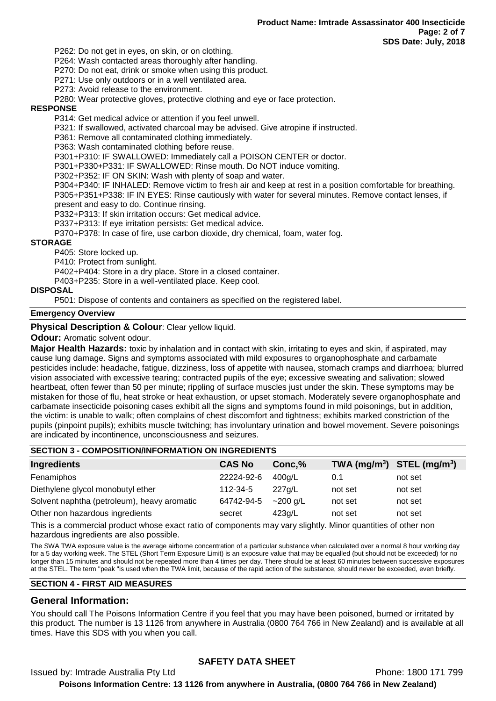P262: Do not get in eyes, on skin, or on clothing.

P264: Wash contacted areas thoroughly after handling.

P270: Do not eat, drink or smoke when using this product.

P271: Use only outdoors or in a well ventilated area.

P273: Avoid release to the environment.

P280: Wear protective gloves, protective clothing and eye or face protection.

#### **RESPONSE**

P314: Get medical advice or attention if you feel unwell.

P321: If swallowed, activated charcoal may be advised. Give atropine if instructed.

P361: Remove all contaminated clothing immediately.

P363: Wash contaminated clothing before reuse.

P301+P310: IF SWALLOWED: Immediately call a POISON CENTER or doctor.

P301+P330+P331: IF SWALLOWED: Rinse mouth. Do NOT induce vomiting.

P302+P352: IF ON SKIN: Wash with plenty of soap and water.

P304+P340: IF INHALED: Remove victim to fresh air and keep at rest in a position comfortable for breathing. P305+P351+P338: IF IN EYES: Rinse cautiously with water for several minutes. Remove contact lenses, if present and easy to do. Continue rinsing.

P332+P313: If skin irritation occurs: Get medical advice.

P337+P313: If eye irritation persists: Get medical advice.

P370+P378: In case of fire, use carbon dioxide, dry chemical, foam, water fog.

#### **STORAGE**

P405: Store locked up.

P410: Protect from sunlight.

P402+P404: Store in a dry place. Store in a closed container.

P403+P235: Store in a well-ventilated place. Keep cool.

#### **DISPOSAL**

P501: Dispose of contents and containers as specified on the registered label.

#### **Emergency Overview**

**Physical Description & Colour: Clear yellow liquid.** 

**Odour:** Aromatic solvent odour.

**Major Health Hazards:** toxic by inhalation and in contact with skin, irritating to eyes and skin, if aspirated, may cause lung damage. Signs and symptoms associated with mild exposures to organophosphate and carbamate pesticides include: headache, fatigue, dizziness, loss of appetite with nausea, stomach cramps and diarrhoea; blurred vision associated with excessive tearing; contracted pupils of the eye; excessive sweating and salivation; slowed heartbeat, often fewer than 50 per minute; rippling of surface muscles just under the skin. These symptoms may be mistaken for those of flu, heat stroke or heat exhaustion, or upset stomach. Moderately severe organophosphate and carbamate insecticide poisoning cases exhibit all the signs and symptoms found in mild poisonings, but in addition, the victim: is unable to walk; often complains of chest discomfort and tightness; exhibits marked constriction of the pupils (pinpoint pupils); exhibits muscle twitching; has involuntary urination and bowel movement. Severe poisonings are indicated by incontinence, unconsciousness and seizures.

# **SECTION 3 - COMPOSITION/INFORMATION ON INGREDIENTS**

| <b>Ingredients</b>                          | <b>CAS No</b> | Conc,%     |         | TWA $(mg/m^3)$ STEL $(mg/m^3)$ |
|---------------------------------------------|---------------|------------|---------|--------------------------------|
| Fenamiphos                                  | 22224-92-6    | 400a/L     | 0.1     | not set                        |
| Diethylene glycol monobutyl ether           | 112-34-5      | 227a/L     | not set | not set                        |
| Solvent naphtha (petroleum), heavy aromatic | 64742-94-5    | $~200$ g/L | not set | not set                        |
| Other non hazardous ingredients             | secret        | 423g/L     | not set | not set                        |
|                                             |               |            |         |                                |

This is a commercial product whose exact ratio of components may vary slightly. Minor quantities of other non hazardous ingredients are also possible.

The SWA TWA exposure value is the average airborne concentration of a particular substance when calculated over a normal 8 hour working day for a 5 day working week. The STEL (Short Term Exposure Limit) is an exposure value that may be equalled (but should not be exceeded) for no longer than 15 minutes and should not be repeated more than 4 times per day. There should be at least 60 minutes between successive exposures at the STEL. The term "peak "is used when the TWA limit, because of the rapid action of the substance, should never be exceeded, even briefly.

# **SECTION 4 - FIRST AID MEASURES**

# **General Information:**

You should call The Poisons Information Centre if you feel that you may have been poisoned, burned or irritated by this product. The number is 13 1126 from anywhere in Australia (0800 764 766 in New Zealand) and is available at all times. Have this SDS with you when you call.

# **SAFETY DATA SHEET**

Issued by: Imtrade Australia Pty Ltd **Phone: 1800 171 799**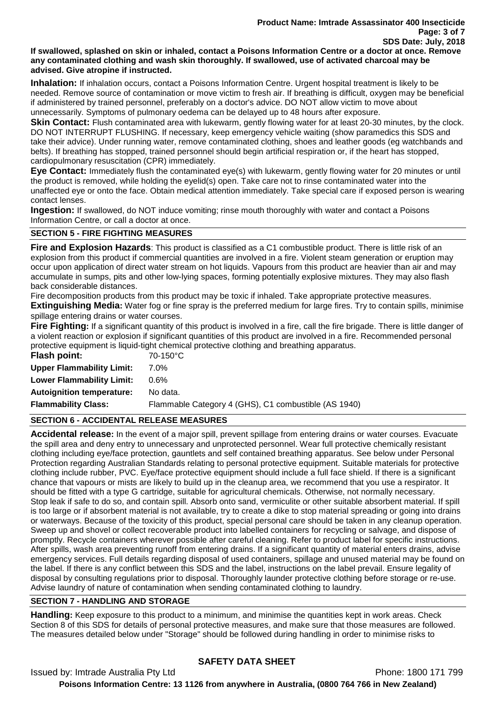#### **If swallowed, splashed on skin or inhaled, contact a Poisons Information Centre or a doctor at once. Remove any contaminated clothing and wash skin thoroughly. If swallowed, use of activated charcoal may be advised. Give atropine if instructed.**

**Inhalation:** If inhalation occurs, contact a Poisons Information Centre. Urgent hospital treatment is likely to be needed. Remove source of contamination or move victim to fresh air. If breathing is difficult, oxygen may be beneficial if administered by trained personnel, preferably on a doctor's advice. DO NOT allow victim to move about unnecessarily. Symptoms of pulmonary oedema can be delayed up to 48 hours after exposure.

**Skin Contact:** Flush contaminated area with lukewarm, gently flowing water for at least 20-30 minutes, by the clock. DO NOT INTERRUPT FLUSHING. If necessary, keep emergency vehicle waiting (show paramedics this SDS and take their advice). Under running water, remove contaminated clothing, shoes and leather goods (eg watchbands and belts). If breathing has stopped, trained personnel should begin artificial respiration or, if the heart has stopped, cardiopulmonary resuscitation (CPR) immediately.

**Eye Contact:** Immediately flush the contaminated eye(s) with lukewarm, gently flowing water for 20 minutes or until the product is removed, while holding the eyelid(s) open. Take care not to rinse contaminated water into the unaffected eye or onto the face. Obtain medical attention immediately. Take special care if exposed person is wearing contact lenses.

**Ingestion:** If swallowed, do NOT induce vomiting; rinse mouth thoroughly with water and contact a Poisons Information Centre, or call a doctor at once.

# **SECTION 5 - FIRE FIGHTING MEASURES**

**Fire and Explosion Hazards**: This product is classified as a C1 combustible product. There is little risk of an explosion from this product if commercial quantities are involved in a fire. Violent steam generation or eruption may occur upon application of direct water stream on hot liquids. Vapours from this product are heavier than air and may accumulate in sumps, pits and other low-lying spaces, forming potentially explosive mixtures. They may also flash back considerable distances.

Fire decomposition products from this product may be toxic if inhaled. Take appropriate protective measures.

**Extinguishing Media:** Water fog or fine spray is the preferred medium for large fires. Try to contain spills, minimise spillage entering drains or water courses.

**Fire Fighting:** If a significant quantity of this product is involved in a fire, call the fire brigade. There is little danger of a violent reaction or explosion if significant quantities of this product are involved in a fire. Recommended personal protective equipment is liquid-tight chemical protective clothing and breathing apparatus.

| <b>Flash point:</b>              | 70-150°C                                             |
|----------------------------------|------------------------------------------------------|
| <b>Upper Flammability Limit:</b> | 7.0%                                                 |
| <b>Lower Flammability Limit:</b> | $0.6\%$                                              |
| <b>Autoignition temperature:</b> | No data.                                             |
| <b>Flammability Class:</b>       | Flammable Category 4 (GHS), C1 combustible (AS 1940) |

# **SECTION 6 - ACCIDENTAL RELEASE MEASURES**

**Accidental release:** In the event of a major spill, prevent spillage from entering drains or water courses. Evacuate the spill area and deny entry to unnecessary and unprotected personnel. Wear full protective chemically resistant clothing including eye/face protection, gauntlets and self contained breathing apparatus. See below under Personal Protection regarding Australian Standards relating to personal protective equipment. Suitable materials for protective clothing include rubber, PVC. Eye/face protective equipment should include a full face shield. If there is a significant chance that vapours or mists are likely to build up in the cleanup area, we recommend that you use a respirator. It should be fitted with a type G cartridge, suitable for agricultural chemicals. Otherwise, not normally necessary. Stop leak if safe to do so, and contain spill. Absorb onto sand, vermiculite or other suitable absorbent material. If spill is too large or if absorbent material is not available, try to create a dike to stop material spreading or going into drains or waterways. Because of the toxicity of this product, special personal care should be taken in any cleanup operation. Sweep up and shovel or collect recoverable product into labelled containers for recycling or salvage, and dispose of promptly. Recycle containers wherever possible after careful cleaning. Refer to product label for specific instructions. After spills, wash area preventing runoff from entering drains. If a significant quantity of material enters drains, advise emergency services. Full details regarding disposal of used containers, spillage and unused material may be found on the label. If there is any conflict between this SDS and the label, instructions on the label prevail. Ensure legality of disposal by consulting regulations prior to disposal. Thoroughly launder protective clothing before storage or re-use. Advise laundry of nature of contamination when sending contaminated clothing to laundry.

# **SECTION 7 - HANDLING AND STORAGE**

**Handling:** Keep exposure to this product to a minimum, and minimise the quantities kept in work areas. Check Section 8 of this SDS for details of personal protective measures, and make sure that those measures are followed. The measures detailed below under "Storage" should be followed during handling in order to minimise risks to

# **SAFETY DATA SHEET**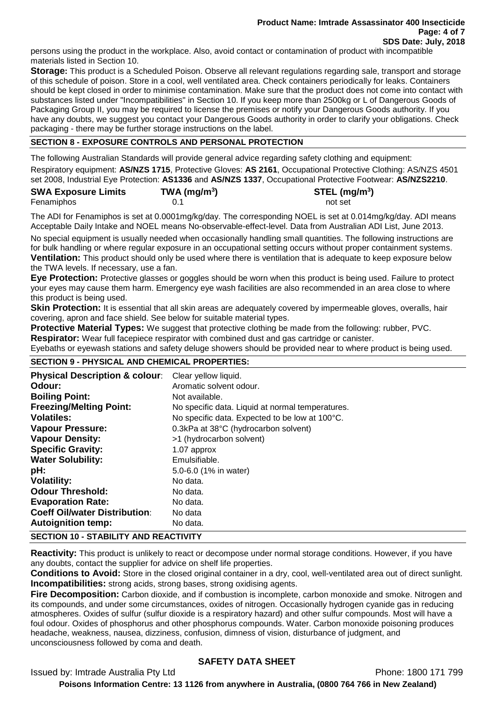persons using the product in the workplace. Also, avoid contact or contamination of product with incompatible materials listed in Section 10.

**Storage:** This product is a Scheduled Poison. Observe all relevant regulations regarding sale, transport and storage of this schedule of poison. Store in a cool, well ventilated area. Check containers periodically for leaks. Containers should be kept closed in order to minimise contamination. Make sure that the product does not come into contact with substances listed under "Incompatibilities" in Section 10. If you keep more than 2500kg or L of Dangerous Goods of Packaging Group II, you may be required to license the premises or notify your Dangerous Goods authority. If you have any doubts, we suggest you contact your Dangerous Goods authority in order to clarify your obligations. Check packaging - there may be further storage instructions on the label.

# **SECTION 8 - EXPOSURE CONTROLS AND PERSONAL PROTECTION**

The following Australian Standards will provide general advice regarding safety clothing and equipment: Respiratory equipment: **AS/NZS 1715**, Protective Gloves: **AS 2161**, Occupational Protective Clothing: AS/NZS 4501 set 2008, Industrial Eye Protection: **AS1336** and **AS/NZS 1337**, Occupational Protective Footwear: **AS/NZS2210**.

| <b>SWA Exposure Limits</b> | $TWA$ (mg/m <sup>3</sup> ) | $STEL$ (mg/m <sup>3</sup> ) |
|----------------------------|----------------------------|-----------------------------|
| Fenamiphos                 |                            | not set                     |

The ADI for Fenamiphos is set at 0.0001mg/kg/day. The corresponding NOEL is set at 0.014mg/kg/day. ADI means Acceptable Daily Intake and NOEL means No-observable-effect-level. Data from Australian ADI List, June 2013.

No special equipment is usually needed when occasionally handling small quantities. The following instructions are for bulk handling or where regular exposure in an occupational setting occurs without proper containment systems. **Ventilation:** This product should only be used where there is ventilation that is adequate to keep exposure below the TWA levels. If necessary, use a fan.

**Eye Protection:** Protective glasses or goggles should be worn when this product is being used. Failure to protect your eyes may cause them harm. Emergency eye wash facilities are also recommended in an area close to where this product is being used.

**Skin Protection:** It is essential that all skin areas are adequately covered by impermeable gloves, overalls, hair covering, apron and face shield. See below for suitable material types.

**Protective Material Types:** We suggest that protective clothing be made from the following: rubber, PVC. **Respirator:** Wear full facepiece respirator with combined dust and gas cartridge or canister.

Eyebaths or eyewash stations and safety deluge showers should be provided near to where product is being used.

# **SECTION 9 - PHYSICAL AND CHEMICAL PROPERTIES:**

| <b>Physical Description &amp; colour:</b>    | Clear yellow liquid.                             |
|----------------------------------------------|--------------------------------------------------|
| Odour:                                       | Aromatic solvent odour.                          |
| <b>Boiling Point:</b>                        | Not available.                                   |
| <b>Freezing/Melting Point:</b>               | No specific data. Liquid at normal temperatures. |
| <b>Volatiles:</b>                            | No specific data. Expected to be low at 100°C.   |
| <b>Vapour Pressure:</b>                      | 0.3kPa at 38°C (hydrocarbon solvent)             |
| <b>Vapour Density:</b>                       | >1 (hydrocarbon solvent)                         |
| <b>Specific Gravity:</b>                     | 1.07 approx                                      |
| <b>Water Solubility:</b>                     | Emulsifiable.                                    |
| pH:                                          | 5.0-6.0 (1% in water)                            |
| <b>Volatility:</b>                           | No data.                                         |
| <b>Odour Threshold:</b>                      | No data.                                         |
| <b>Evaporation Rate:</b>                     | No data.                                         |
| <b>Coeff Oil/water Distribution:</b>         | No data                                          |
| <b>Autoignition temp:</b>                    | No data.                                         |
| <b>SECTION 10 - STABILITY AND REACTIVITY</b> |                                                  |

**Reactivity:** This product is unlikely to react or decompose under normal storage conditions. However, if you have any doubts, contact the supplier for advice on shelf life properties.

**Conditions to Avoid:** Store in the closed original container in a dry, cool, well-ventilated area out of direct sunlight. **Incompatibilities:** strong acids, strong bases, strong oxidising agents.

**Fire Decomposition:** Carbon dioxide, and if combustion is incomplete, carbon monoxide and smoke. Nitrogen and its compounds, and under some circumstances, oxides of nitrogen. Occasionally hydrogen cyanide gas in reducing atmospheres. Oxides of sulfur (sulfur dioxide is a respiratory hazard) and other sulfur compounds. Most will have a foul odour. Oxides of phosphorus and other phosphorus compounds. Water. Carbon monoxide poisoning produces headache, weakness, nausea, dizziness, confusion, dimness of vision, disturbance of judgment, and unconsciousness followed by coma and death.

# **SAFETY DATA SHEET**

Issued by: Imtrade Australia Pty Ltd **Phone: 1800 171 799**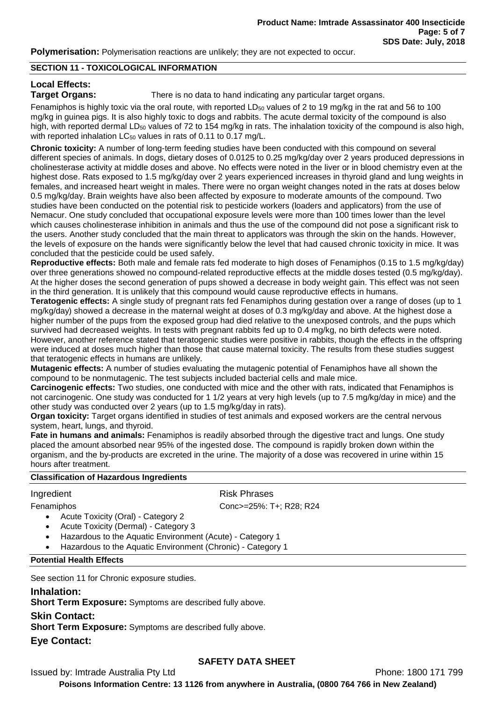**Polymerisation:** Polymerisation reactions are unlikely; they are not expected to occur.

#### **SECTION 11 - TOXICOLOGICAL INFORMATION**

# **Local Effects:**

**Target Organs:** There is no data to hand indicating any particular target organs.

Fenamiphos is highly toxic via the oral route, with reported  $LD_{50}$  values of 2 to 19 mg/kg in the rat and 56 to 100 mg/kg in guinea pigs. It is also highly toxic to dogs and rabbits. The acute dermal toxicity of the compound is also high, with reported dermal LD<sub>50</sub> values of 72 to 154 mg/kg in rats. The inhalation toxicity of the compound is also high, with reported inhalation  $LC_{50}$  values in rats of 0.11 to 0.17 mg/L.

**Chronic toxicity:** A number of long-term feeding studies have been conducted with this compound on several different species of animals. In dogs, dietary doses of 0.0125 to 0.25 mg/kg/day over 2 years produced depressions in cholinesterase activity at middle doses and above. No effects were noted in the liver or in blood chemistry even at the highest dose. Rats exposed to 1.5 mg/kg/day over 2 years experienced increases in thyroid gland and lung weights in females, and increased heart weight in males. There were no organ weight changes noted in the rats at doses below 0.5 mg/kg/day. Brain weights have also been affected by exposure to moderate amounts of the compound. Two studies have been conducted on the potential risk to pesticide workers (loaders and applicators) from the use of Nemacur. One study concluded that occupational exposure levels were more than 100 times lower than the level which causes cholinesterase inhibition in animals and thus the use of the compound did not pose a significant risk to the users. Another study concluded that the main threat to applicators was through the skin on the hands. However, the levels of exposure on the hands were significantly below the level that had caused chronic toxicity in mice. It was concluded that the pesticide could be used safely.

**Reproductive effects:** Both male and female rats fed moderate to high doses of Fenamiphos (0.15 to 1.5 mg/kg/day) over three generations showed no compound-related reproductive effects at the middle doses tested (0.5 mg/kg/day). At the higher doses the second generation of pups showed a decrease in body weight gain. This effect was not seen in the third generation. It is unlikely that this compound would cause reproductive effects in humans.

**Teratogenic effects:** A single study of pregnant rats fed Fenamiphos during gestation over a range of doses (up to 1 mg/kg/day) showed a decrease in the maternal weight at doses of 0.3 mg/kg/day and above. At the highest dose a higher number of the pups from the exposed group had died relative to the unexposed controls, and the pups which survived had decreased weights. In tests with pregnant rabbits fed up to 0.4 mg/kg, no birth defects were noted. However, another reference stated that teratogenic studies were positive in rabbits, though the effects in the offspring were induced at doses much higher than those that cause maternal toxicity. The results from these studies suggest that teratogenic effects in humans are unlikely.

**Mutagenic effects:** A number of studies evaluating the mutagenic potential of Fenamiphos have all shown the compound to be nonmutagenic. The test subjects included bacterial cells and male mice.

**Carcinogenic effects:** Two studies, one conducted with mice and the other with rats, indicated that Fenamiphos is not carcinogenic. One study was conducted for 1 1/2 years at very high levels (up to 7.5 mg/kg/day in mice) and the other study was conducted over 2 years (up to 1.5 mg/kg/day in rats).

**Organ toxicity:** Target organs identified in studies of test animals and exposed workers are the central nervous system, heart, lungs, and thyroid.

**Fate in humans and animals:** Fenamiphos is readily absorbed through the digestive tract and lungs. One study placed the amount absorbed near 95% of the ingested dose. The compound is rapidly broken down within the organism, and the by-products are excreted in the urine. The majority of a dose was recovered in urine within 15 hours after treatment.

# **Classification of Hazardous Ingredients**

# Ingredient **Risk Phrases**

Fenamiphos Conc>=25%: T+; R28; R24

- Acute Toxicity (Oral) Category 2
- Acute Toxicity (Dermal) Category 3
- Hazardous to the Aquatic Environment (Acute) Category 1
- Hazardous to the Aquatic Environment (Chronic) Category 1

# **Potential Health Effects**

See section 11 for Chronic exposure studies.

# **Inhalation:**

**Short Term Exposure:** Symptoms are described fully above.

# **Skin Contact:**

**Short Term Exposure:** Symptoms are described fully above.

# **Eye Contact:**

# **SAFETY DATA SHEET**

Issued by: Imtrade Australia Pty Ltd **Phone: 1800 171 799**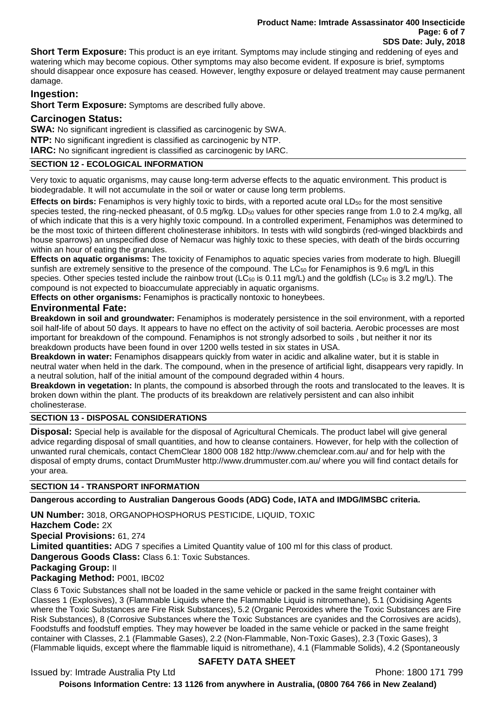**Short Term Exposure:** This product is an eye irritant. Symptoms may include stinging and reddening of eyes and watering which may become copious. Other symptoms may also become evident. If exposure is brief, symptoms should disappear once exposure has ceased. However, lengthy exposure or delayed treatment may cause permanent damage.

# **Ingestion:**

**Short Term Exposure:** Symptoms are described fully above.

# **Carcinogen Status:**

**SWA:** No significant ingredient is classified as carcinogenic by SWA. **NTP:** No significant ingredient is classified as carcinogenic by NTP. **IARC:** No significant ingredient is classified as carcinogenic by IARC.

# **SECTION 12 - ECOLOGICAL INFORMATION**

Very toxic to aquatic organisms, may cause long-term adverse effects to the aquatic environment. This product is biodegradable. It will not accumulate in the soil or water or cause long term problems.

**Effects on birds:** Fenamiphos is very highly toxic to birds, with a reported acute oral LD<sub>50</sub> for the most sensitive species tested, the ring-necked pheasant, of 0.5 mg/kg. LD<sub>50</sub> values for other species range from 1.0 to 2.4 mg/kg, all of which indicate that this is a very highly toxic compound. In a controlled experiment, Fenamiphos was determined to be the most toxic of thirteen different cholinesterase inhibitors. In tests with wild songbirds (red-winged blackbirds and house sparrows) an unspecified dose of Nemacur was highly toxic to these species, with death of the birds occurring within an hour of eating the granules.

**Effects on aquatic organisms:** The toxicity of Fenamiphos to aquatic species varies from moderate to high. Bluegill sunfish are extremely sensitive to the presence of the compound. The LC<sub>50</sub> for Fenamiphos is 9.6 mg/L in this species. Other species tested include the rainbow trout (LC $_{50}$  is 0.11 mg/L) and the goldfish (LC $_{50}$  is 3.2 mg/L). The compound is not expected to bioaccumulate appreciably in aquatic organisms.

**Effects on other organisms:** Fenamiphos is practically nontoxic to honeybees.

# **Environmental Fate:**

**Breakdown in soil and groundwater:** Fenamiphos is moderately persistence in the soil environment, with a reported soil half-life of about 50 days. It appears to have no effect on the activity of soil bacteria. Aerobic processes are most important for breakdown of the compound. Fenamiphos is not strongly adsorbed to soils , but neither it nor its breakdown products have been found in over 1200 wells tested in six states in USA.

**Breakdown in water:** Fenamiphos disappears quickly from water in acidic and alkaline water, but it is stable in neutral water when held in the dark. The compound, when in the presence of artificial light, disappears very rapidly. In a neutral solution, half of the initial amount of the compound degraded within 4 hours.

**Breakdown in vegetation:** In plants, the compound is absorbed through the roots and translocated to the leaves. It is broken down within the plant. The products of its breakdown are relatively persistent and can also inhibit cholinesterase.

# **SECTION 13 - DISPOSAL CONSIDERATIONS**

**Disposal:** Special help is available for the disposal of Agricultural Chemicals. The product label will give general advice regarding disposal of small quantities, and how to cleanse containers. However, for help with the collection of unwanted rural chemicals, contact ChemClear 1800 008 182 http://www.chemclear.com.au/ and for help with the disposal of empty drums, contact DrumMuster http://www.drummuster.com.au/ where you will find contact details for your area.

# **SECTION 14 - TRANSPORT INFORMATION**

**Dangerous according to Australian Dangerous Goods (ADG) Code, IATA and IMDG/IMSBC criteria.**

**UN Number:** 3018, ORGANOPHOSPHORUS PESTICIDE, LIQUID, TOXIC **Hazchem Code:** 2X **Special Provisions:** 61, 274 **Limited quantities:** ADG 7 specifies a Limited Quantity value of 100 ml for this class of product. **Dangerous Goods Class:** Class 6.1: Toxic Substances. **Packaging Group:** II **Packaging Method:** P001, IBC02

Class 6 Toxic Substances shall not be loaded in the same vehicle or packed in the same freight container with Classes 1 (Explosives), 3 (Flammable Liquids where the Flammable Liquid is nitromethane), 5.1 (Oxidising Agents where the Toxic Substances are Fire Risk Substances), 5.2 (Organic Peroxides where the Toxic Substances are Fire Risk Substances), 8 (Corrosive Substances where the Toxic Substances are cyanides and the Corrosives are acids), Foodstuffs and foodstuff empties. They may however be loaded in the same vehicle or packed in the same freight container with Classes, 2.1 (Flammable Gases), 2.2 (Non-Flammable, Non-Toxic Gases), 2.3 (Toxic Gases), 3 (Flammable liquids, except where the flammable liquid is nitromethane), 4.1 (Flammable Solids), 4.2 (Spontaneously

# **SAFETY DATA SHEET**

Issued by: Imtrade Australia Pty Ltd **Phone: 1800 171 799**